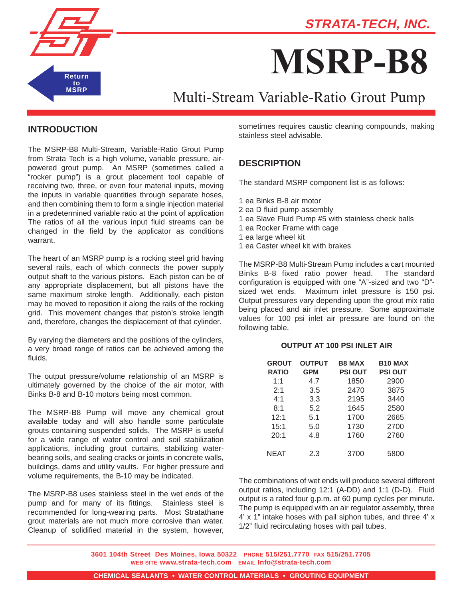



# **MSRP-B8**

# Multi-Stream Variable-Ratio Grout Pump

### **INTRODUCTION**

The MSRP-B8 Multi-Stream, Variable-Ratio Grout Pump from Strata Tech is a high volume, variable pressure, airpowered grout pump. An MSRP (sometimes called a "rocker pump") is a grout placement tool capable of receiving two, three, or even four material inputs, moving the inputs in variable quantities through separate hoses, and then combining them to form a single injection material in a predetermined variable ratio at the point of application The ratios of all the various input fluid streams can be changed in the field by the applicator as conditions warrant.

The heart of an MSRP pump is a rocking steel grid having several rails, each of which connects the power supply output shaft to the various pistons. Each piston can be of any appropriate displacement, but all pistons have the same maximum stroke length. Additionally, each piston may be moved to reposition it along the rails of the rocking grid. This movement changes that piston's stroke length and, therefore, changes the displacement of that cylinder.

By varying the diameters and the positions of the cylinders, a very broad range of ratios can be achieved among the fluids.

The output pressure/volume relationship of an MSRP is ultimately governed by the choice of the air motor, with Binks B-8 and B-10 motors being most common.

The MSRP-B8 Pump will move any chemical grout available today and will also handle some particulate grouts containing suspended solids. The MSRP is useful for a wide range of water control and soil stabilization applications, including grout curtains, stabilizing waterbearing soils, and sealing cracks or joints in concrete walls, buildings, dams and utility vaults. For higher pressure and volume requirements, the B-10 may be indicated.

The MSRP-B8 uses stainless steel in the wet ends of the pump and for many of its fittings. Stainless steel is recommended for long-wearing parts. Most Stratathane grout materials are not much more corrosive than water. Cleanup of solidified material in the system, however, sometimes requires caustic cleaning compounds, making stainless steel advisable.

# **DESCRIPTION**

The standard MSRP component list is as follows:

- 1 ea Binks B-8 air motor
- 2 ea D fluid pump assembly
- 1 ea Slave Fluid Pump #5 with stainless check balls
- 1 ea Rocker Frame with cage
- 1 ea large wheel kit
- 1 ea Caster wheel kit with brakes

The MSRP-B8 Multi-Stream Pump includes a cart mounted Binks B-8 fixed ratio power head. The standard configuration is equipped with one "A"-sized and two "D" sized wet ends. Maximum inlet pressure is 150 psi. Output pressures vary depending upon the grout mix ratio being placed and air inlet pressure. Some approximate values for 100 psi inlet air pressure are found on the following table.

#### **OUTPUT AT 100 PSI INLET AIR**

| <b>GROUT</b> | <b>OUTPUT</b> | <b>B8 MAX</b>  | <b>B10 MAX</b> |
|--------------|---------------|----------------|----------------|
| <b>RATIO</b> | <b>GPM</b>    | <b>PSI OUT</b> | <b>PSI OUT</b> |
| 1:1          | 4.7           | 1850           | 2900           |
| 2:1          | 3.5           | 2470           | 3875           |
| 4:1          | 3.3           | 2195           | 3440           |
| 8:1          | 5.2           | 1645           | 2580           |
| 12:1         | 5.1           | 1700           | 2665           |
| 15:1         | 5.0           | 1730           | 2700           |
| 20:1         | 4.8           | 1760           | 2760           |
|              |               |                |                |
| NEAT         | 2.3           | 3700           | 5800           |
|              |               |                |                |

The combinations of wet ends will produce several different output ratios, including 12:1 (A-DD) and 1:1 (D-D). Fluid output is a rated four g.p.m. at 60 pump cycles per minute. The pump is equipped with an air regulator assembly, three 4' x 1" intake hoses with pail siphon tubes, and three 4' x 1/2" fluid recirculating hoses with pail tubes.

**3601 104th Street Des Moines, Iowa 50322 PHONE 515/251.7770 FAX 515/251.7705 WEB SITE www.strata-tech.com EMAIL Info@strata-tech.com**